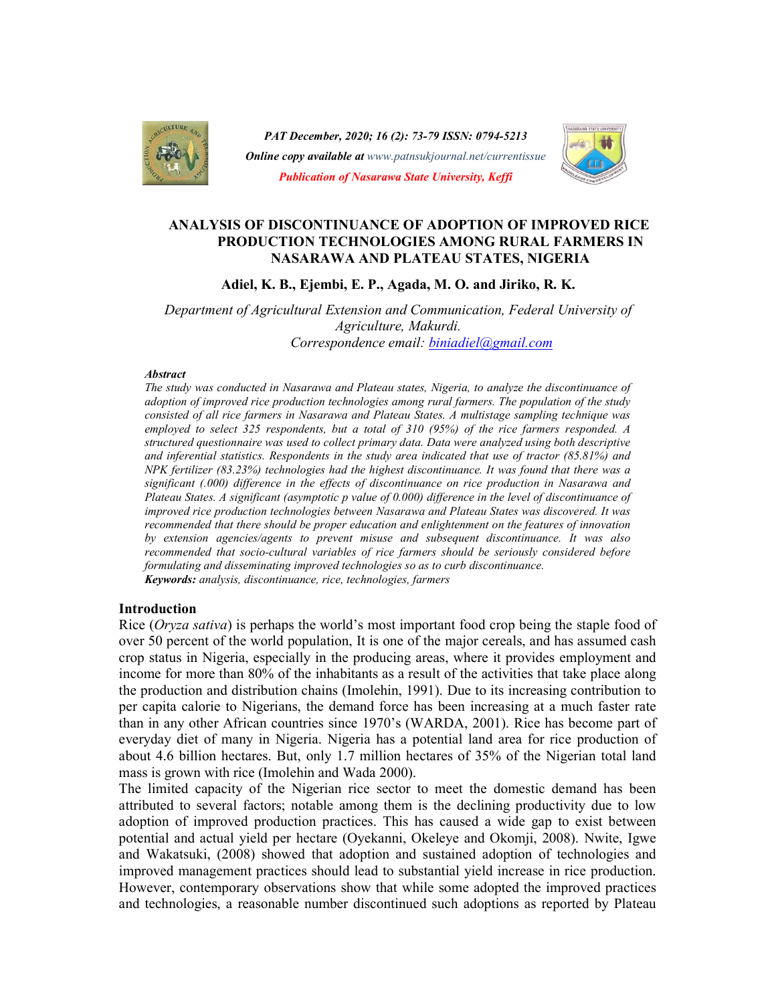

PAT December, 2020; 16 (2): 73-79 ISSN: 0794-5213<br>
Online copy available at www.patnsukjournal.net/currentissue<br>
Publication of Nasarawa State University, Keffi<br>
ANALYSIS OF DISCONTINUANCE OF ADOPTION OF IMPROVED RICE PAT December, 2020; 16 (2): 73-79 ISSN: 0794-5213 **Online copy available at** www.patnsukjournal.net/currentissue Publication of Nasarawa State University, Keffi



# PRODUCTION TECHNOLOGIES AMONG RURAL FARMERS IN NASARAWA AND PLATEAU STATES, NIGERIA

Adiel, K. B., Ejembi, E. P., Agada, M. O. and Jiriko, R. K.

Department of Agricultural Extension and Communication, Federal University of Agriculture, Makurdi. Correspondence email: biniadiel@gmail.com

#### **Abstract**

The study was conducted in Nasarawa and Plateau states, Nigeria, to analyze the discontinuance of adoption of improved rice production technologies among rural farmers. The population of the study consisted of all rice farmers in Nasarawa and Plateau States. A multistage sampling technique was employed to select 325 respondents, but a total of 310 (95%) of the rice farmers responded. A structured questionnaire was used to collect primary data. Data were analyzed using both descriptive and inferential statistics. Respondents in the study area indicated that use of tractor (85.81%) and NPK fertilizer (83.23%) technologies had the highest discontinuance. It was found that there was a significant (.000) difference in the effects of discontinuance on rice production in Nasarawa and Plateau States. A significant (asymptotic p value of 0.000) difference in the level of discontinuance of improved rice production technologies between Nasarawa and Plateau States was discovered. It was recommended that there should be proper education and enlightenment on the features of innovation by extension agencies/agents to prevent misuse and subsequent discontinuance. It was also recommended that socio-cultural variables of rice farmers should be seriously considered before formulating and disseminating improved technologies so as to curb discontinuance. Keywords: analysis, discontinuance, rice, technologies, farmers

#### Introduction

Rice (*Oryza sativa*) is perhaps the world's most important food crop being the staple food of over 50 percent of the world population, It is one of the major cereals, and has assumed cash crop status in Nigeria, especially in the producing areas, where it provides employment and income for more than 80% of the inhabitants as a result of the activities that take place along the production and distribution chains (Imolehin, 1991). Due to its increasing contribution to per capita calorie to Nigerians, the demand force has been increasing at a much faster rate than in any other African countries since 1970's (WARDA, 2001). Rice has become part of everyday diet of many in Nigeria. Nigeria has a potential land area for rice production of about 4.6 billion hectares. But, only 1.7 million hectares of 35% of the Nigerian total land mass is grown with rice (Imolehin and Wada 2000).

The limited capacity of the Nigerian rice sector to meet the domestic demand has been attributed to several factors; notable among them is the declining productivity due to low adoption of improved production practices. This has caused a wide gap to exist between potential and actual yield per hectare (Oyekanni, Okeleye and Okomji, 2008). Nwite, Igwe and Wakatsuki, (2008) showed that adoption and sustained adoption of technologies and improved management practices should lead to substantial yield increase in rice production. However, contemporary observations show that while some adopted the improved practices and technologies, a reasonable number discontinued such adoptions as reported by Plateau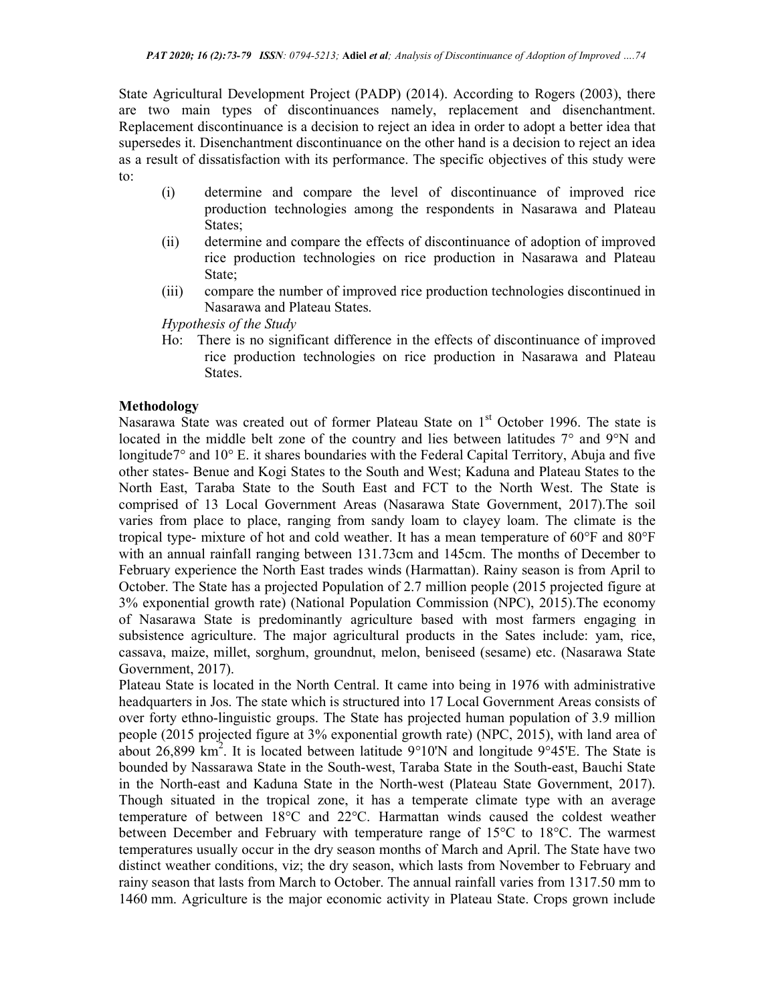State Agricultural Development Project (PADP) (2014). According to Rogers (2003), there are two main types of discontinuances namely, replacement and disenchantment. Replacement discontinuance is a decision to reject an idea in order to adopt a better idea that supersedes it. Disenchantment discontinuance on the other hand is a decision to reject an idea as a result of dissatisfaction with its performance. The specific objectives of this study were to:

- (i) determine and compare the level of discontinuance of improved rice production technologies among the respondents in Nasarawa and Plateau States;
- (ii) determine and compare the effects of discontinuance of adoption of improved rice production technologies on rice production in Nasarawa and Plateau State;
- (iii) compare the number of improved rice production technologies discontinued in Nasarawa and Plateau States.

Hypothesis of the Study

Ho: There is no significant difference in the effects of discontinuance of improved rice production technologies on rice production in Nasarawa and Plateau States.

## Methodology

Nasarawa State was created out of former Plateau State on 1<sup>st</sup> October 1996. The state is located in the middle belt zone of the country and lies between latitudes 7° and 9°N and longitude7° and 10° E. it shares boundaries with the Federal Capital Territory, Abuja and five other states- Benue and Kogi States to the South and West; Kaduna and Plateau States to the North East, Taraba State to the South East and FCT to the North West. The State is comprised of 13 Local Government Areas (Nasarawa State Government, 2017).The soil varies from place to place, ranging from sandy loam to clayey loam. The climate is the tropical type- mixture of hot and cold weather. It has a mean temperature of 60°F and 80°F with an annual rainfall ranging between 131.73cm and 145cm. The months of December to February experience the North East trades winds (Harmattan). Rainy season is from April to October. The State has a projected Population of 2.7 million people (2015 projected figure at 3% exponential growth rate) (National Population Commission (NPC), 2015).The economy of Nasarawa State is predominantly agriculture based with most farmers engaging in subsistence agriculture. The major agricultural products in the Sates include: yam, rice, cassava, maize, millet, sorghum, groundnut, melon, beniseed (sesame) etc. (Nasarawa State Government, 2017).

Plateau State is located in the North Central. It came into being in 1976 with administrative headquarters in Jos. The state which is structured into 17 Local Government Areas consists of over forty ethno-linguistic groups. The State has projected human population of 3.9 million people (2015 projected figure at 3% exponential growth rate) (NPC, 2015), with land area of about 26,899  $\text{km}^2$ . It is located between latitude 9°10'N and longitude 9°45'E. The State is bounded by Nassarawa State in the South-west, Taraba State in the South-east, Bauchi State in the North-east and Kaduna State in the North-west (Plateau State Government, 2017). Though situated in the tropical zone, it has a temperate climate type with an average temperature of between 18°C and 22°C. Harmattan winds caused the coldest weather between December and February with temperature range of 15°C to 18°C. The warmest temperatures usually occur in the dry season months of March and April. The State have two distinct weather conditions, viz; the dry season, which lasts from November to February and rainy season that lasts from March to October. The annual rainfall varies from 1317.50 mm to 1460 mm. Agriculture is the major economic activity in Plateau State. Crops grown include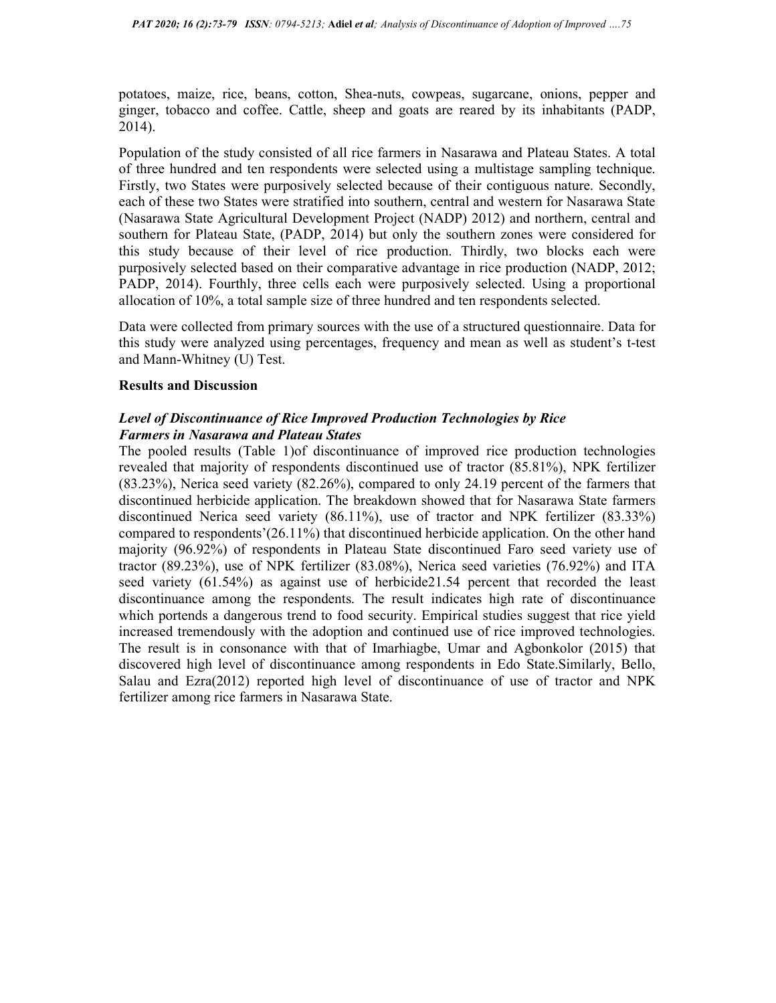potatoes, maize, rice, beans, cotton, Shea-nuts, cowpeas, sugarcane, onions, pepper and ginger, tobacco and coffee. Cattle, sheep and goats are reared by its inhabitants (PADP, 2014).

Population of the study consisted of all rice farmers in Nasarawa and Plateau States. A total of three hundred and ten respondents were selected using a multistage sampling technique. Firstly, two States were purposively selected because of their contiguous nature. Secondly, each of these two States were stratified into southern, central and western for Nasarawa State (Nasarawa State Agricultural Development Project (NADP) 2012) and northern, central and southern for Plateau State, (PADP, 2014) but only the southern zones were considered for this study because of their level of rice production. Thirdly, two blocks each were purposively selected based on their comparative advantage in rice production (NADP, 2012; PADP, 2014). Fourthly, three cells each were purposively selected. Using a proportional allocation of 10%, a total sample size of three hundred and ten respondents selected.

Data were collected from primary sources with the use of a structured questionnaire. Data for this study were analyzed using percentages, frequency and mean as well as student's t-test and Mann-Whitney (U) Test.

### Results and Discussion

## Level of Discontinuance of Rice Improved Production Technologies by Rice Farmers in Nasarawa and Plateau States

The pooled results (Table 1)of discontinuance of improved rice production technologies revealed that majority of respondents discontinued use of tractor (85.81%), NPK fertilizer (83.23%), Nerica seed variety (82.26%), compared to only 24.19 percent of the farmers that discontinued herbicide application. The breakdown showed that for Nasarawa State farmers discontinued Nerica seed variety (86.11%), use of tractor and NPK fertilizer (83.33%) compared to respondents'(26.11%) that discontinued herbicide application. On the other hand majority (96.92%) of respondents in Plateau State discontinued Faro seed variety use of tractor (89.23%), use of NPK fertilizer (83.08%), Nerica seed varieties (76.92%) and ITA seed variety (61.54%) as against use of herbicide21.54 percent that recorded the least discontinuance among the respondents. The result indicates high rate of discontinuance which portends a dangerous trend to food security. Empirical studies suggest that rice yield increased tremendously with the adoption and continued use of rice improved technologies. The result is in consonance with that of Imarhiagbe, Umar and Agbonkolor (2015) that discovered high level of discontinuance among respondents in Edo State.Similarly, Bello, Salau and Ezra(2012) reported high level of discontinuance of use of tractor and NPK fertilizer among rice farmers in Nasarawa State.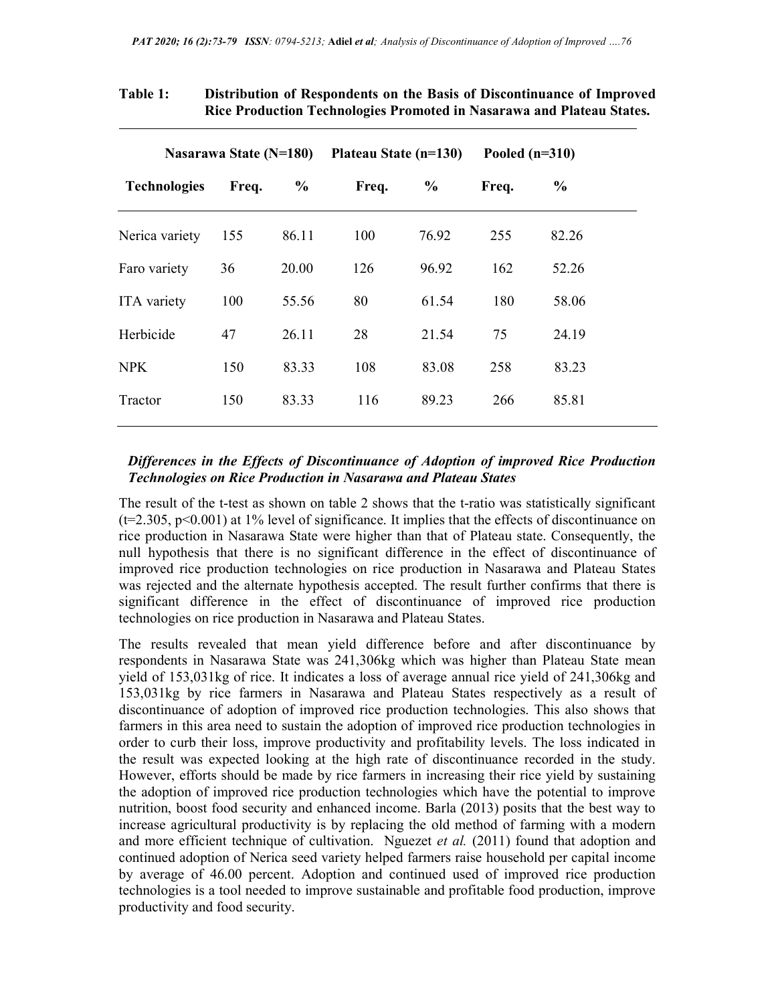|                     | Nasarawa State (N=180) |               | Plateau State (n=130) |               | Pooled $(n=310)$ |                |
|---------------------|------------------------|---------------|-----------------------|---------------|------------------|----------------|
| <b>Technologies</b> | Freq.                  | $\frac{6}{9}$ | Freq.                 | $\frac{6}{6}$ | Freq.            | $\frac{6}{10}$ |
| Nerica variety      | 155                    | 86.11         | 100                   | 76.92         | 255              | 82.26          |
| Faro variety        | 36                     | 20.00         | 126                   | 96.92         | 162              | 52.26          |
| ITA variety         | 100                    | 55.56         | 80                    | 61.54         | 180              | 58.06          |
| Herbicide           | 47                     | 26.11         | 28                    | 21.54         | 75               | 24.19          |
| <b>NPK</b>          | 150                    | 83.33         | 108                   | 83.08         | 258              | 83.23          |
| Tractor             | 150                    | 83.33         | 116                   | 89.23         | 266              | 85.81          |
|                     |                        |               |                       |               |                  |                |

# Table 1: Distribution of Respondents on the Basis of Discontinuance of Improved Rice Production Technologies Promoted in Nasarawa and Plateau States.

# Differences in the Effects of Discontinuance of Adoption of improved Rice Production Technologies on Rice Production in Nasarawa and Plateau States

The result of the t-test as shown on table 2 shows that the t-ratio was statistically significant (t=2.305, p<0.001) at 1% level of significance. It implies that the effects of discontinuance on rice production in Nasarawa State were higher than that of Plateau state. Consequently, the null hypothesis that there is no significant difference in the effect of discontinuance of improved rice production technologies on rice production in Nasarawa and Plateau States was rejected and the alternate hypothesis accepted. The result further confirms that there is significant difference in the effect of discontinuance of improved rice production technologies on rice production in Nasarawa and Plateau States.

The results revealed that mean yield difference before and after discontinuance by respondents in Nasarawa State was 241,306kg which was higher than Plateau State mean yield of 153,031kg of rice. It indicates a loss of average annual rice yield of 241,306kg and 153,031kg by rice farmers in Nasarawa and Plateau States respectively as a result of discontinuance of adoption of improved rice production technologies. This also shows that farmers in this area need to sustain the adoption of improved rice production technologies in order to curb their loss, improve productivity and profitability levels. The loss indicated in the result was expected looking at the high rate of discontinuance recorded in the study. However, efforts should be made by rice farmers in increasing their rice yield by sustaining the adoption of improved rice production technologies which have the potential to improve nutrition, boost food security and enhanced income. Barla (2013) posits that the best way to increase agricultural productivity is by replacing the old method of farming with a modern and more efficient technique of cultivation. Nguezet et al. (2011) found that adoption and continued adoption of Nerica seed variety helped farmers raise household per capital income by average of 46.00 percent. Adoption and continued used of improved rice production technologies is a tool needed to improve sustainable and profitable food production, improve productivity and food security.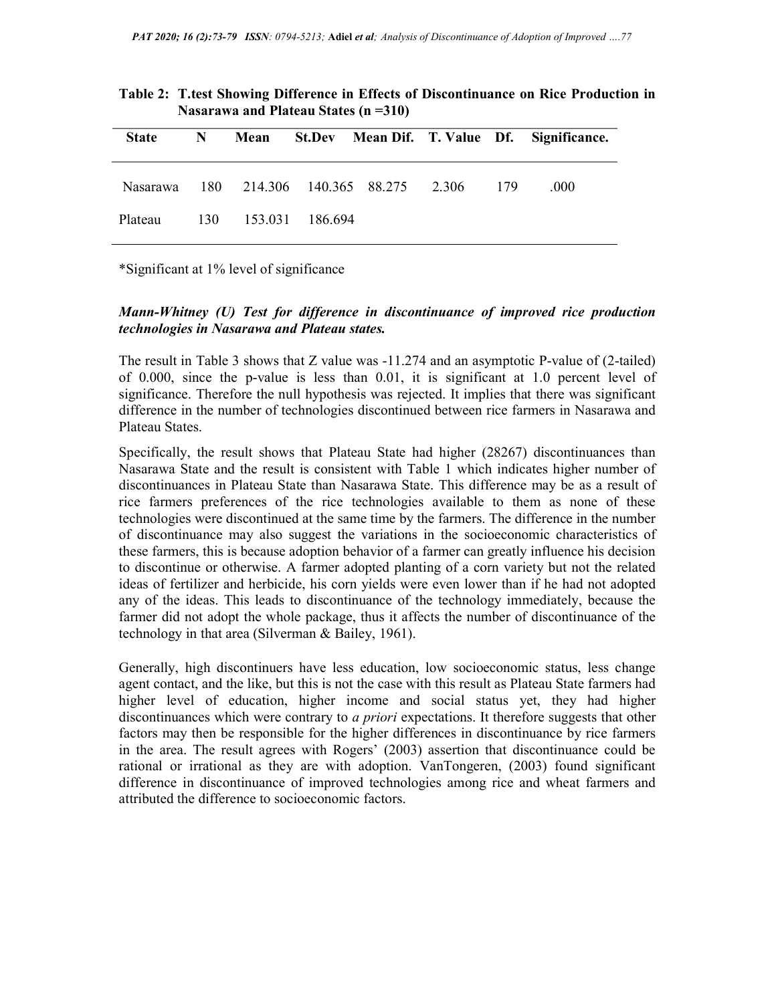|              |   | $1$ $1.88$ $1.1$ $1.1$ $1.11$ $1.11$ $1.11$ $1.11$ $1.1$ $1.1$ $1.1$ $1.1$ $1.1$ $1.1$ $1.1$ $1.1$ $1.1$ $1.1$ $1.1$ $1.1$ $1.1$ $1.1$ $1.1$ $1.1$ $1.1$ $1.1$ $1.1$ $1.1$ $1.1$ $1.1$ $1.1$ $1.1$ $1.1$ $1.1$ $1.1$ $1.1$ $1$ |           |                                      |  |                                                  |
|--------------|---|--------------------------------------------------------------------------------------------------------------------------------------------------------------------------------------------------------------------------------|-----------|--------------------------------------|--|--------------------------------------------------|
| <b>State</b> | N |                                                                                                                                                                                                                                |           |                                      |  | Mean St.Dev Mean Dif. T. Value Df. Significance. |
| Nasarawa     |   |                                                                                                                                                                                                                                |           | 180 214.306 140.365 88.275 2.306 179 |  | .000                                             |
| Plateau      |   | 130 153.031                                                                                                                                                                                                                    | - 186.694 |                                      |  |                                                  |

| Table 2: T.test Showing Difference in Effects of Discontinuance on Rice Production in |
|---------------------------------------------------------------------------------------|
| Nasarawa and Plateau States $(n=310)$                                                 |

\*Significant at 1% level of significance

## Mann-Whitney (U) Test for difference in discontinuance of improved rice production technologies in Nasarawa and Plateau states.

The result in Table 3 shows that Z value was -11.274 and an asymptotic P-value of (2-tailed) of 0.000, since the p-value is less than 0.01, it is significant at 1.0 percent level of significance. Therefore the null hypothesis was rejected. It implies that there was significant difference in the number of technologies discontinued between rice farmers in Nasarawa and Plateau States.

Specifically, the result shows that Plateau State had higher (28267) discontinuances than Nasarawa State and the result is consistent with Table 1 which indicates higher number of discontinuances in Plateau State than Nasarawa State. This difference may be as a result of rice farmers preferences of the rice technologies available to them as none of these technologies were discontinued at the same time by the farmers. The difference in the number of discontinuance may also suggest the variations in the socioeconomic characteristics of these farmers, this is because adoption behavior of a farmer can greatly influence his decision to discontinue or otherwise. A farmer adopted planting of a corn variety but not the related ideas of fertilizer and herbicide, his corn yields were even lower than if he had not adopted any of the ideas. This leads to discontinuance of the technology immediately, because the farmer did not adopt the whole package, thus it affects the number of discontinuance of the technology in that area (Silverman & Bailey, 1961).

Generally, high discontinuers have less education, low socioeconomic status, less change agent contact, and the like, but this is not the case with this result as Plateau State farmers had higher level of education, higher income and social status yet, they had higher discontinuances which were contrary to a priori expectations. It therefore suggests that other factors may then be responsible for the higher differences in discontinuance by rice farmers in the area. The result agrees with Rogers' (2003) assertion that discontinuance could be rational or irrational as they are with adoption. VanTongeren, (2003) found significant difference in discontinuance of improved technologies among rice and wheat farmers and attributed the difference to socioeconomic factors.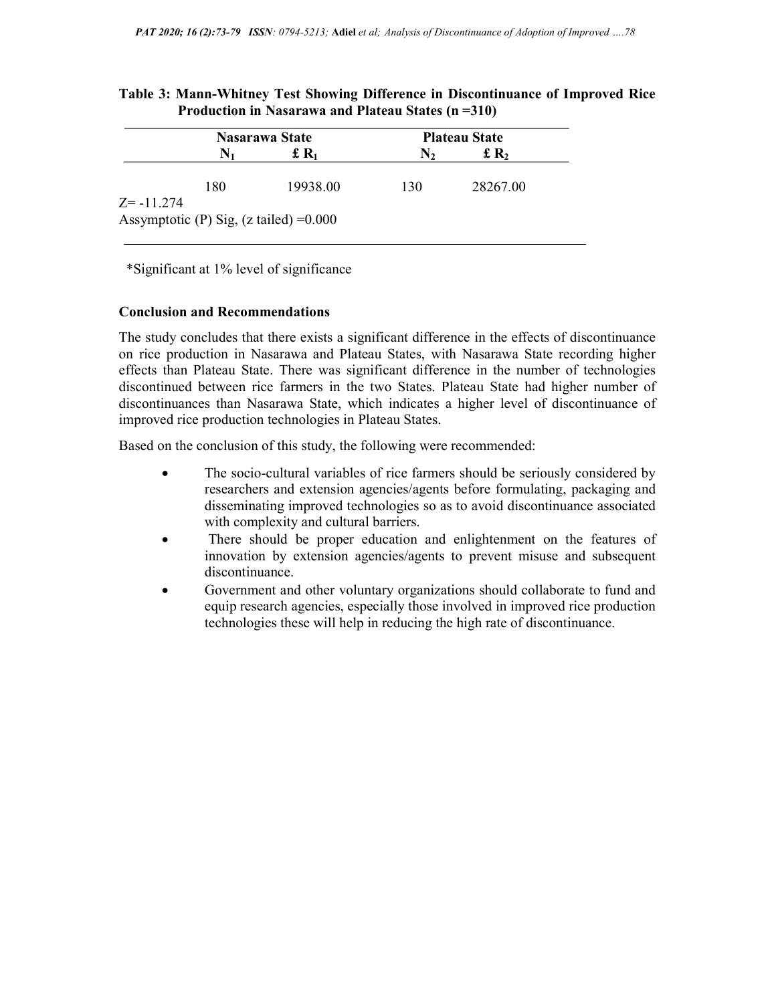|               | Nasarawa State |                                                   | <b>Plateau State</b> |                             |  |
|---------------|----------------|---------------------------------------------------|----------------------|-----------------------------|--|
|               |                | $\pounds R_1$                                     | $\mathbf{N}_2$       | $\mathbf{f}$ R <sub>2</sub> |  |
| $Z = -11.274$ | 180            | 19938.00                                          | 130                  | 28267.00                    |  |
|               |                | Assymptotic (P) Sig, $(z \text{ tailed}) = 0.000$ |                      |                             |  |

# Table 3: Mann-Whitney Test Showing Difference in Discontinuance of Improved Rice Production in Nasarawa and Plateau States (n =310)

\*Significant at 1% level of significance

## Conclusion and Recommendations

The study concludes that there exists a significant difference in the effects of discontinuance on rice production in Nasarawa and Plateau States, with Nasarawa State recording higher effects than Plateau State. There was significant difference in the number of technologies discontinued between rice farmers in the two States. Plateau State had higher number of discontinuances than Nasarawa State, which indicates a higher level of discontinuance of improved rice production technologies in Plateau States.

Based on the conclusion of this study, the following were recommended:

- The socio-cultural variables of rice farmers should be seriously considered by researchers and extension agencies/agents before formulating, packaging and disseminating improved technologies so as to avoid discontinuance associated with complexity and cultural barriers.
- There should be proper education and enlightenment on the features of innovation by extension agencies/agents to prevent misuse and subsequent discontinuance.
- Government and other voluntary organizations should collaborate to fund and equip research agencies, especially those involved in improved rice production technologies these will help in reducing the high rate of discontinuance.